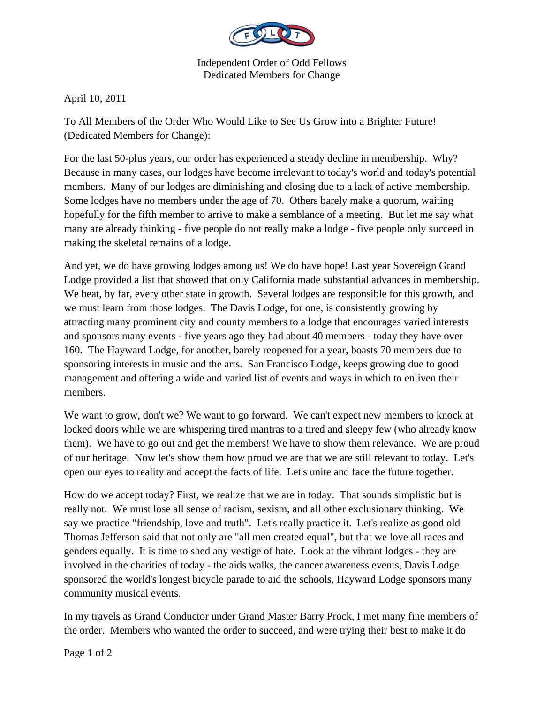

Independent Order of Odd Fellows Dedicated Members for Change

April 10, 2011

To All Members of the Order Who Would Like to See Us Grow into a Brighter Future! (Dedicated Members for Change):

For the last 50-plus years, our order has experienced a steady decline in membership. Why? Because in many cases, our lodges have become irrelevant to today's world and today's potential members. Many of our lodges are diminishing and closing due to a lack of active membership. Some lodges have no members under the age of 70. Others barely make a quorum, waiting hopefully for the fifth member to arrive to make a semblance of a meeting. But let me say what many are already thinking - five people do not really make a lodge - five people only succeed in making the skeletal remains of a lodge.

And yet, we do have growing lodges among us! We do have hope! Last year Sovereign Grand Lodge provided a list that showed that only California made substantial advances in membership. We beat, by far, every other state in growth. Several lodges are responsible for this growth, and we must learn from those lodges. The Davis Lodge, for one, is consistently growing by attracting many prominent city and county members to a lodge that encourages varied interests and sponsors many events - five years ago they had about 40 members - today they have over 160. The Hayward Lodge, for another, barely reopened for a year, boasts 70 members due to sponsoring interests in music and the arts. San Francisco Lodge, keeps growing due to good management and offering a wide and varied list of events and ways in which to enliven their members.

We want to grow, don't we? We want to go forward. We can't expect new members to knock at locked doors while we are whispering tired mantras to a tired and sleepy few (who already know them). We have to go out and get the members! We have to show them relevance. We are proud of our heritage. Now let's show them how proud we are that we are still relevant to today. Let's open our eyes to reality and accept the facts of life. Let's unite and face the future together.

How do we accept today? First, we realize that we are in today. That sounds simplistic but is really not. We must lose all sense of racism, sexism, and all other exclusionary thinking. We say we practice "friendship, love and truth". Let's really practice it. Let's realize as good old Thomas Jefferson said that not only are "all men created equal", but that we love all races and genders equally. It is time to shed any vestige of hate. Look at the vibrant lodges - they are involved in the charities of today - the aids walks, the cancer awareness events, Davis Lodge sponsored the world's longest bicycle parade to aid the schools, Hayward Lodge sponsors many community musical events.

In my travels as Grand Conductor under Grand Master Barry Prock, I met many fine members of the order. Members who wanted the order to succeed, and were trying their best to make it do

Page 1 of 2